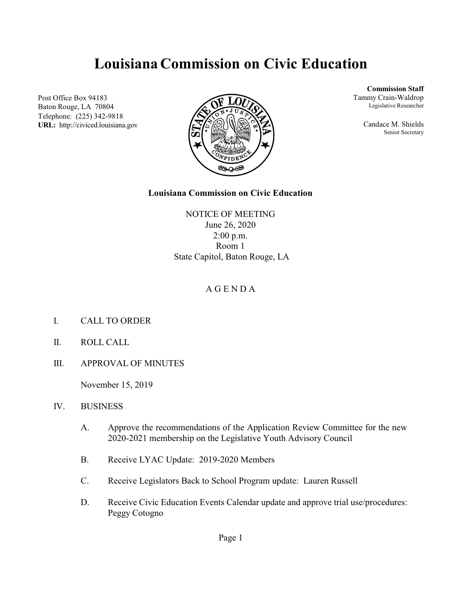# **Louisiana Commission on Civic Education**

Post Office Box 94183 Baton Rouge, LA 70804 Telephone: (225) 342-9818 **URL:** http://civiced.louisiana.gov



**Commission Staff**

Tammy Crain-Waldrop Legislative Researcher

> Candace M. Shields Senior Secretary

#### **Louisiana Commission on Civic Education**

NOTICE OF MEETING June 26, 2020 2:00 p.m. Room 1 State Capitol, Baton Rouge, LA

### A G E N D A

- I. CALL TO ORDER
- II. ROLL CALL
- III. APPROVAL OF MINUTES

November 15, 2019

- IV. BUSINESS
	- A. Approve the recommendations of the Application Review Committee for the new 2020-2021 membership on the Legislative Youth Advisory Council
	- B. Receive LYAC Update: 2019-2020 Members
	- C. Receive Legislators Back to School Program update: Lauren Russell
	- D. Receive Civic Education Events Calendar update and approve trial use/procedures: Peggy Cotogno